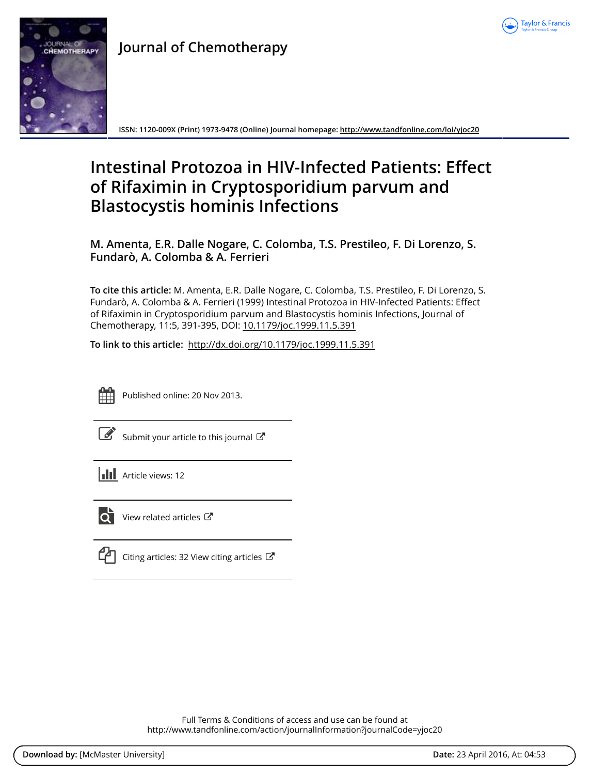



# **Journal of Chemotherapy**

**ISSN: 1120-009X (Print) 1973-9478 (Online) Journal homepage: <http://www.tandfonline.com/loi/yjoc20>**

# **Intestinal Protozoa in HIV-Infected Patients: Effect of Rifaximin in Cryptosporidium parvum and Blastocystis hominis Infections**

**M. Amenta, E.R. Dalle Nogare, C. Colomba, T.S. Prestileo, F. Di Lorenzo, S. Fundarò, A. Colomba & A. Ferrieri**

**To cite this article:** M. Amenta, E.R. Dalle Nogare, C. Colomba, T.S. Prestileo, F. Di Lorenzo, S. Fundarò, A. Colomba & A. Ferrieri (1999) Intestinal Protozoa in HIV-Infected Patients: Effect of Rifaximin in Cryptosporidium parvum and Blastocystis hominis Infections, Journal of Chemotherapy, 11:5, 391-395, DOI: [10.1179/joc.1999.11.5.391](http://www.tandfonline.com/action/showCitFormats?doi=10.1179/joc.1999.11.5.391)

**To link to this article:** <http://dx.doi.org/10.1179/joc.1999.11.5.391>



Published online: 20 Nov 2013.

[Submit your article to this journal](http://www.tandfonline.com/action/authorSubmission?journalCode=yjoc20&page=instructions)  $\mathbb{Z}$ 

**Article views: 12** 



 $\overrightarrow{Q}$  [View related articles](http://www.tandfonline.com/doi/mlt/10.1179/joc.1999.11.5.391)  $\overrightarrow{C}$ 

 $\mathbb{C}$  [Citing articles: 32 View citing articles](http://www.tandfonline.com/doi/citedby/10.1179/joc.1999.11.5.391#tabModule)  $\mathbb{C}$ 

Full Terms & Conditions of access and use can be found at <http://www.tandfonline.com/action/journalInformation?journalCode=yjoc20>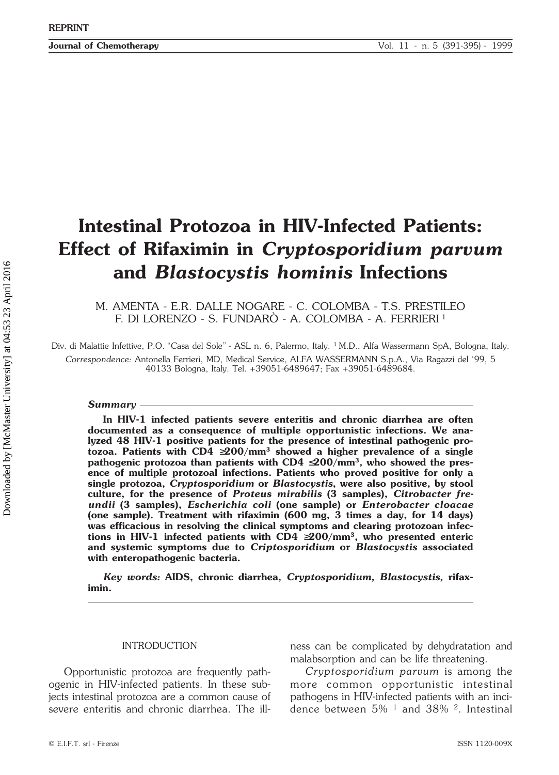# **Intestinal Protozoa in HIV-Infected Patients: Effect of Rifaximin in** *Cryptosporidium parvum* **and** *Blastocystis hominis* **Infections**

M. AMENTA - E.R. DALLE NOGARE - C. COLOMBA - T.S. PRESTILEO F. DI LORENZO - S. FUNDARÒ - A. COLOMBA - A. FERRIERI <sup>1</sup>

Div. di Malattie Infettive, P.O. "Casa del Sole" - ASL n. 6, Palermo, Italy. 1 M.D., Alfa Wassermann SpA, Bologna, Italy. *Correspondence:* Antonella Ferrieri, MD, Medical Service, ALFA WASSERMANN S.p.A., Via Ragazzi del '99, 5 40133 Bologna, Italy. Tel. +39051-6489647; Fax +39051-6489684.

### *Summary*

**In HIV-1 infected patients severe enteritis and chronic diarrhea are often documented as a consequence of multiple opportunistic infections. We analyzed 48 HIV-1 positive patients for the presence of intestinal pathogenic protozoa. Patients with CD4** ≥**200/mm3 showed a higher prevalence of a single pathogenic protozoa than patients with CD4** ≤**200/mm3, who showed the presence of multiple protozoal infections. Patients who proved positive for only a single protozoa,** *Cryptosporidium* **or** *Blastocystis***, were also positive, by stool culture, for the presence of** *Proteus mirabilis* **(3 samples),** *Citrobacter freundii* **(3 samples),** *Escherichia coli* **(one sample) or** *Enterobacter cloacae* **(one sample). Treatment with rifaximin (600 mg, 3 times a day, for 14 days) was efficacious in resolving the clinical symptoms and clearing protozoan infections in HIV-1 infected patients with CD4** ≥**200/mm3, who presented enteric and systemic symptoms due to** *Criptosporidium* **or** *Blastocystis* **associated with enteropathogenic bacteria.**

*Key words:* **AIDS, chronic diarrhea,** *Cryptosporidium, Blastocystis,* **rifaximin***.*

# INTRODUCTION

Opportunistic protozoa are frequently pathogenic in HIV-infected patients. In these subjects intestinal protozoa are a common cause of severe enteritis and chronic diarrhea. The illness can be complicated by dehydratation and malabsorption and can be life threatening.

*Cryptosporidium parvum* is among the more common opportunistic intestinal pathogens in HIV-infected patients with an incidence between  $5\%$  <sup>1</sup> and  $38\%$  <sup>2</sup>. Intestinal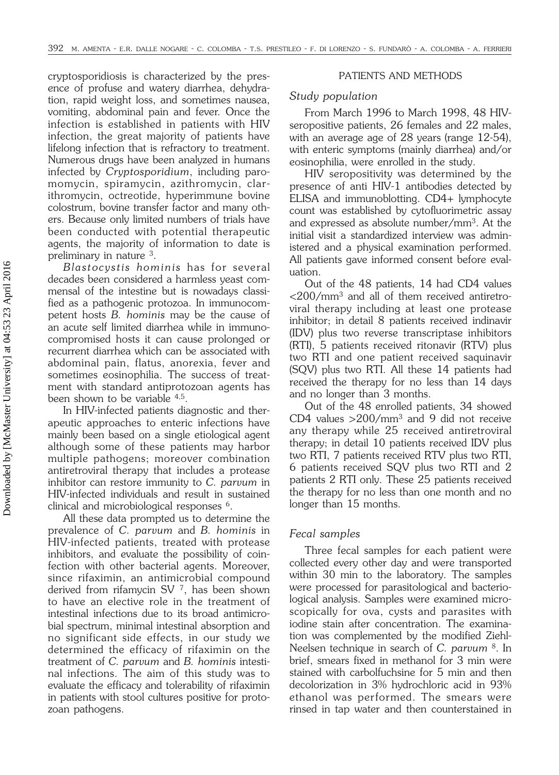cryptosporidiosis is characterized by the presence of profuse and watery diarrhea, dehydration, rapid weight loss, and sometimes nausea, vomiting, abdominal pain and fever. Once the infection is established in patients with HIV infection, the great majority of patients have lifelong infection that is refractory to treatment. Numerous drugs have been analyzed in humans infected by *Cryptosporidium*, including paromomycin, spiramycin, azithromycin, clarithromycin, octreotide, hyperimmune bovine colostrum, bovine transfer factor and many others. Because only limited numbers of trials have been conducted with potential therapeutic agents, the majority of information to date is preliminary in nature 3.

*Blastocystis hominis* has for several decades been considered a harmless yeast commensal of the intestine but is nowadays classified as a pathogenic protozoa. In immunocompetent hosts *B. hominis* may be the cause of an acute self limited diarrhea while in immunocompromised hosts it can cause prolonged or recurrent diarrhea which can be associated with abdominal pain, flatus, anorexia, fever and sometimes eosinophilia. The success of treatment with standard antiprotozoan agents has been shown to be variable 4,5.

In HIV-infected patients diagnostic and therapeutic approaches to enteric infections have mainly been based on a single etiological agent although some of these patients may harbor multiple pathogens; moreover combination antiretroviral therapy that includes a protease inhibitor can restore immunity to *C. parvum* in HIV-infected individuals and result in sustained clinical and microbiological responses 6.

All these data prompted us to determine the prevalence of *C. parvum* and *B. hominis* in HIV-infected patients, treated with protease inhibitors, and evaluate the possibility of coinfection with other bacterial agents. Moreover, since rifaximin, an antimicrobial compound derived from rifamycin SV 7, has been shown to have an elective role in the treatment of intestinal infections due to its broad antimicrobial spectrum, minimal intestinal absorption and no significant side effects, in our study we determined the efficacy of rifaximin on the treatment of *C. parvum* and *B. hominis* intestinal infections. The aim of this study was to evaluate the efficacy and tolerability of rifaximin in patients with stool cultures positive for protozoan pathogens.

# PATIENTS AND METHODS

# *Study population*

From March 1996 to March 1998, 48 HIVseropositive patients, 26 females and 22 males, with an average age of 28 years (range 12-54), with enteric symptoms (mainly diarrhea) and/or eosinophilia, were enrolled in the study.

HIV seropositivity was determined by the presence of anti HIV-1 antibodies detected by ELISA and immunoblotting. CD4+ lymphocyte count was established by cytofluorimetric assay and expressed as absolute number/mm3. At the initial visit a standardized interview was administered and a physical examination performed. All patients gave informed consent before evaluation.

Out of the 48 patients, 14 had CD4 values  $\langle 200/mm^3$  and all of them received antiretroviral therapy including at least one protease inhibitor; in detail 8 patients received indinavir (IDV) plus two reverse transcriptase inhibitors (RTI), 5 patients received ritonavir (RTV) plus two RTI and one patient received saquinavir (SQV) plus two RTI. All these 14 patients had received the therapy for no less than 14 days and no longer than 3 months.

Out of the 48 enrolled patients, 34 showed CD4 values >200/mm3 and 9 did not receive any therapy while 25 received antiretroviral therapy; in detail 10 patients received IDV plus two RTI, 7 patients received RTV plus two RTI, 6 patients received SQV plus two RTI and 2 patients 2 RTI only. These 25 patients received the therapy for no less than one month and no longer than 15 months.

# *Fecal samples*

Three fecal samples for each patient were collected every other day and were transported within 30 min to the laboratory. The samples were processed for parasitological and bacteriological analysis. Samples were examined microscopically for ova, cysts and parasites with iodine stain after concentration. The examination was complemented by the modified Ziehl-Neelsen technique in search of *C. parvum* 8. In brief, smears fixed in methanol for 3 min were stained with carbolfuchsine for 5 min and then decolorization in 3% hydrochloric acid in 93% ethanol was performed. The smears were rinsed in tap water and then counterstained in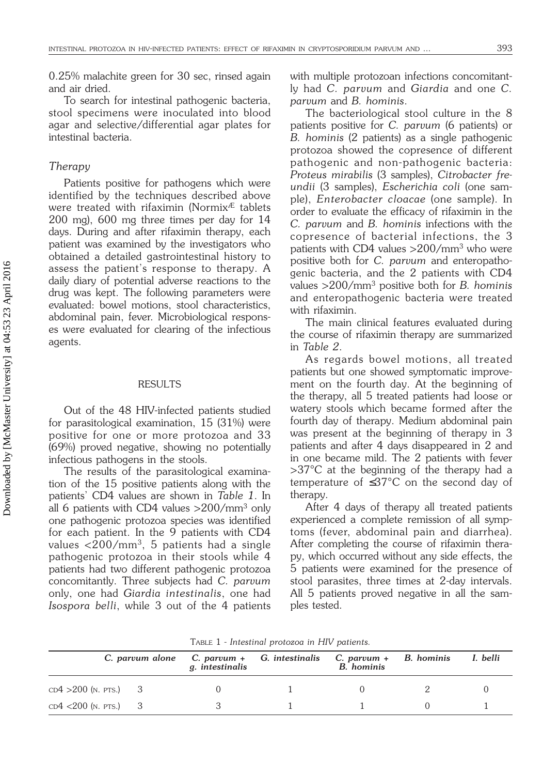0.25% malachite green for 30 sec, rinsed again and air dried.

To search for intestinal pathogenic bacteria, stool specimens were inoculated into blood agar and selective/differential agar plates for intestinal bacteria.

## *Therapy*

Patients positive for pathogens which were identified by the techniques described above were treated with rifaximin (Normix $E$  tablets 200 mg), 600 mg three times per day for 14 days. During and after rifaximin therapy, each patient was examined by the investigators who obtained a detailed gastrointestinal history to assess the patient's response to therapy. A daily diary of potential adverse reactions to the drug was kept. The following parameters were evaluated: bowel motions, stool characteristics, abdominal pain, fever. Microbiological responses were evaluated for clearing of the infectious agents.

### RESULTS

Out of the 48 HIV-infected patients studied for parasitological examination, 15 (31%) were positive for one or more protozoa and 33 (69%) proved negative, showing no potentially infectious pathogens in the stools.

The results of the parasitological examination of the 15 positive patients along with the patients' CD4 values are shown in *Table 1*. In all 6 patients with CD4 values >200/mm3 only one pathogenic protozoa species was identified for each patient. In the 9 patients with CD4 values  $\langle 200/mm^3, 5$  patients had a single pathogenic protozoa in their stools while 4 patients had two different pathogenic protozoa concomitantly. Three subjects had *C. parvum* only, one had *Giardia intestinalis*, one had *Isospora belli*, while 3 out of the 4 patients with multiple protozoan infections concomitantly had *C. parvum* and *Giardia* and one *C. parvum* and *B. hominis*.

The bacteriological stool culture in the 8 patients positive for *C. parvum* (6 patients) or *B. hominis* (2 patients) as a single pathogenic protozoa showed the copresence of different pathogenic and non-pathogenic bacteria: *Proteus mirabilis* (3 samples), *Citrobacter freundii* (3 samples), *Escherichia coli* (one sample), *Enterobacter cloacae* (one sample). In order to evaluate the efficacy of rifaximin in the *C. parvum* and *B. hominis* infections with the copresence of bacterial infections, the 3 patients with CD4 values  $>$  200/mm<sup>3</sup> who were positive both for *C. parvum* and enteropathogenic bacteria, and the 2 patients with CD4 values >200/mm3 positive both for *B. hominis* and enteropathogenic bacteria were treated with rifaximin.

The main clinical features evaluated during the course of rifaximin therapy are summarized in *Table 2*.

As regards bowel motions, all treated patients but one showed symptomatic improvement on the fourth day. At the beginning of the therapy, all 5 treated patients had loose or watery stools which became formed after the fourth day of therapy. Medium abdominal pain was present at the beginning of therapy in 3 patients and after 4 days disappeared in 2 and in one became mild. The 2 patients with fever >37°C at the beginning of the therapy had a temperature of ≤37°C on the second day of therapy.

After 4 days of therapy all treated patients experienced a complete remission of all symptoms (fever, abdominal pain and diarrhea). After completing the course of rifaximin therapy, which occurred without any side effects, the 5 patients were examined for the presence of stool parasites, three times at 2-day intervals. All 5 patients proved negative in all the samples tested.

|  |  | TABLE 1 - Intestinal protozoa in HIV patients. |  |  |  |  |
|--|--|------------------------------------------------|--|--|--|--|
|--|--|------------------------------------------------|--|--|--|--|

|                         | C. parvum alone | g. intestinalis | C. parvum + G. intestinalis | C. parvum + B. hominis<br>B. hominis | I. belli |  |
|-------------------------|-----------------|-----------------|-----------------------------|--------------------------------------|----------|--|
| $CD4 > 200$ (n. pts.) 3 |                 |                 |                             |                                      |          |  |
| $CD4 < 200$ (n. pts.) 3 |                 |                 |                             |                                      |          |  |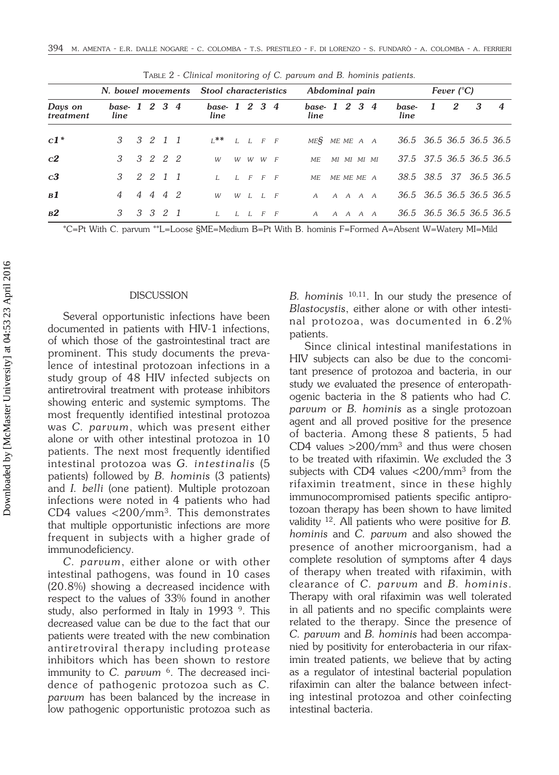|                      |                      | N. bowel movements Stool characteristics |         |                       |  | Abdominal pain |                     |  |                      | Fever $(^{\circ}C)$ |                 |  |  |                          |   |   |   |                  |
|----------------------|----------------------|------------------------------------------|---------|-----------------------|--|----------------|---------------------|--|----------------------|---------------------|-----------------|--|--|--------------------------|---|---|---|------------------|
| Days on<br>treatment | base-1 2 3 4<br>line |                                          |         | base-1 2 3 4<br>line  |  |                |                     |  | base-1 2 3 4<br>line |                     |                 |  |  | base-<br>line            | 1 | 2 | 3 | $\boldsymbol{4}$ |
| $c1*$                | 3 3 2 1 1            |                                          |         | $L^*$ $L$ $L$ $F$ $F$ |  |                |                     |  | MES MEMEA A          |                     |                 |  |  | 36.5 36.5 36.5 36.5 36.5 |   |   |   |                  |
| c2                   | 3 3 2 2 2            |                                          |         | W                     |  |                | $W$ $W$ $W$ $F$     |  | МE                   |                     | MI MI MI MI     |  |  | 37.5 37.5 36.5 36.5 36.5 |   |   |   |                  |
| c3                   | 3 2 2 1 1            |                                          |         | $I_{\cdot}$           |  |                | I. F F F            |  | МE                   | ME ME ME A          |                 |  |  | 38.5 38.5 37 36.5 36.5   |   |   |   |                  |
| B1                   | 4                    |                                          | 4 4 4 2 | W                     |  |                | $W$ $I$ , $I$ , $F$ |  | $A$ $A$ $A$ $A$ $A$  |                     |                 |  |  | 36.5 36.5 36.5 36.5 36.5 |   |   |   |                  |
| B2                   | 3                    |                                          | 3 3 2 1 | $I_{-}$               |  |                | I. I. F. F          |  | $\overline{A}$       |                     | $A$ $A$ $A$ $A$ |  |  | 36.5 36.5 36.5 36.5 36.5 |   |   |   |                  |

TABLE 2 - *Clinical monitoring of C. parvum and B. hominis patients.*

\*C=Pt With C. parvum \*\*L=Loose §ME=Medium B=Pt With B. hominis F=Formed A=Absent W=Watery MI=Mild

# **DISCUSSION**

Several opportunistic infections have been documented in patients with HIV-1 infections, of which those of the gastrointestinal tract are prominent. This study documents the prevalence of intestinal protozoan infections in a study group of 48 HIV infected subjects on antiretroviral treatment with protease inhibitors showing enteric and systemic symptoms. The most frequently identified intestinal protozoa was *C. parvum*, which was present either alone or with other intestinal protozoa in 10 patients. The next most frequently identified intestinal protozoa was *G. intestinalis* (5 patients) followed by *B. hominis* (3 patients) and *I. belli* (one patient). Multiple protozoan infections were noted in 4 patients who had CD4 values <200/mm3. This demonstrates that multiple opportunistic infections are more frequent in subjects with a higher grade of immunodeficiency.

*C. parvum*, either alone or with other intestinal pathogens, was found in 10 cases (20.8%) showing a decreased incidence with respect to the values of 33% found in another study, also performed in Italy in 1993<sup>9</sup>. This decreased value can be due to the fact that our patients were treated with the new combination antiretroviral therapy including protease inhibitors which has been shown to restore immunity to *C. parvum* <sup>6</sup>. The decreased incidence of pathogenic protozoa such as *C. parvum* has been balanced by the increase in low pathogenic opportunistic protozoa such as *B. hominis* 10,11. In our study the presence of *Blastocystis*, either alone or with other intestinal protozoa, was documented in 6.2% patients.

Since clinical intestinal manifestations in HIV subjects can also be due to the concomitant presence of protozoa and bacteria, in our study we evaluated the presence of enteropathogenic bacteria in the 8 patients who had *C. parvum* or *B. hominis* as a single protozoan agent and all proved positive for the presence of bacteria. Among these 8 patients, 5 had CD4 values  $>$  200/mm<sup>3</sup> and thus were chosen to be treated with rifaximin. We excluded the 3 subjects with CD4 values  $\langle 200/nm^3$  from the rifaximin treatment, since in these highly immunocompromised patients specific antiprotozoan therapy has been shown to have limited validity 12. All patients who were positive for *B. hominis* and *C. parvum* and also showed the presence of another microorganism, had a complete resolution of symptoms after 4 days of therapy when treated with rifaximin, with clearance of *C. parvum* and *B. hominis*. Therapy with oral rifaximin was well tolerated in all patients and no specific complaints were related to the therapy. Since the presence of *C. parvum* and *B. hominis* had been accompanied by positivity for enterobacteria in our rifaximin treated patients, we believe that by acting as a regulator of intestinal bacterial population rifaximin can alter the balance between infecting intestinal protozoa and other coinfecting intestinal bacteria.